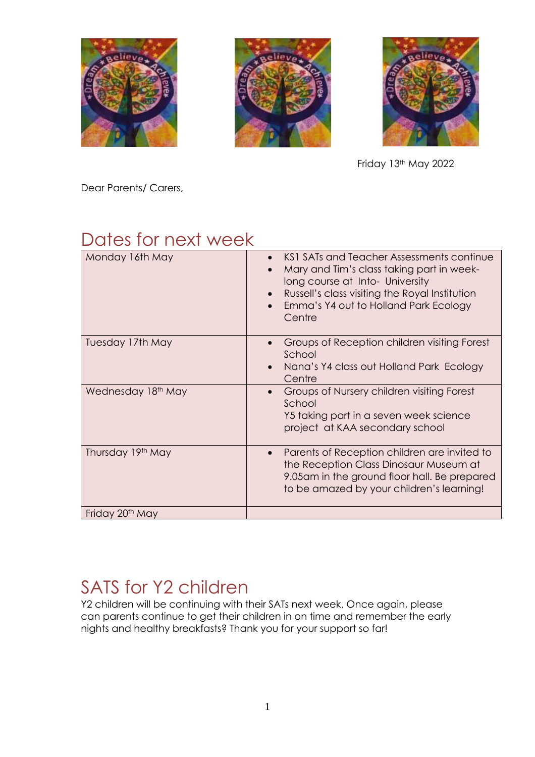





Friday 13th May 2022

Dear Parents/ Carers,

### Dates for next week

| Monday 16th May             | KS1 SATs and Teacher Assessments continue<br>Mary and Tim's class taking part in week-<br>long course at Into- University<br>Russell's class visiting the Royal Institution<br>Emma's Y4 out to Holland Park Ecology<br>Centre |
|-----------------------------|--------------------------------------------------------------------------------------------------------------------------------------------------------------------------------------------------------------------------------|
| Tuesday 17th May            | Groups of Reception children visiting Forest<br>School<br>Nana's Y4 class out Holland Park Ecology<br>Centre                                                                                                                   |
| Wednesday 18th May          | Groups of Nursery children visiting Forest<br>School<br>Y5 taking part in a seven week science<br>project at KAA secondary school                                                                                              |
| Thursday 19th May           | Parents of Reception children are invited to<br>$\bullet$<br>the Reception Class Dinosaur Museum at<br>9.05am in the ground floor hall. Be prepared<br>to be amazed by your children's learning!                               |
| Friday 20 <sup>th</sup> May |                                                                                                                                                                                                                                |

### SATS for Y2 children

Y2 children will be continuing with their SATs next week. Once again, please can parents continue to get their children in on time and remember the early nights and healthy breakfasts? Thank you for your support so far!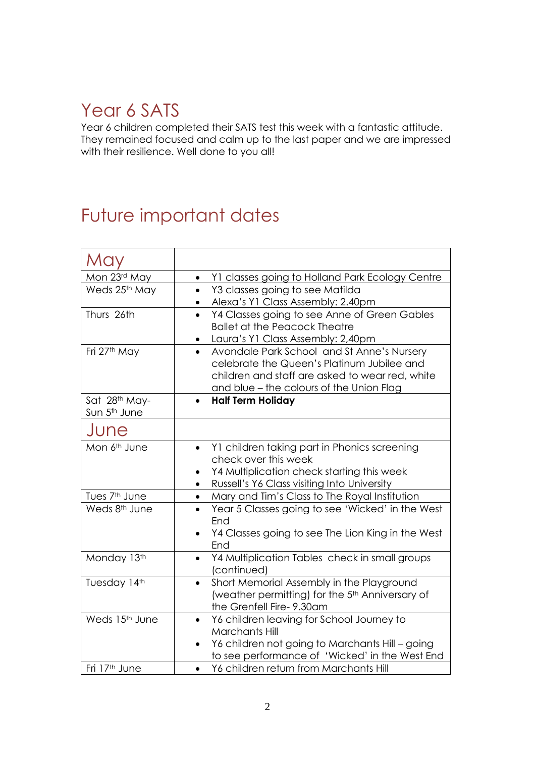### Year 6 SATS

Year 6 children completed their SATS test this week with a fantastic attitude. They remained focused and calm up to the last paper and we are impressed with their resilience. Well done to you all!

### Future important dates

| May                       |                                                                                   |
|---------------------------|-----------------------------------------------------------------------------------|
| Mon 23rd May              | Y1 classes going to Holland Park Ecology Centre<br>$\bullet$                      |
| Weds 25th May             | Y3 classes going to see Matilda<br>$\bullet$                                      |
|                           | Alexa's Y1 Class Assembly: 2.40pm<br>$\bullet$                                    |
| Thurs 26th                | Y4 Classes going to see Anne of Green Gables<br>$\bullet$                         |
|                           | <b>Ballet at the Peacock Theatre</b>                                              |
|                           | Laura's Y1 Class Assembly: 2,40pm                                                 |
| Fri 27th May              | Avondale Park School and St Anne's Nursery<br>$\bullet$                           |
|                           | celebrate the Queen's Platinum Jubilee and                                        |
|                           | children and staff are asked to wear red, white                                   |
| Sat 28th May-             | and blue - the colours of the Union Flag<br><b>Half Term Holiday</b><br>$\bullet$ |
| Sun 5 <sup>th</sup> June  |                                                                                   |
|                           |                                                                                   |
| June                      |                                                                                   |
| Mon 6 <sup>th</sup> June  | Y1 children taking part in Phonics screening<br>$\bullet$                         |
|                           | check over this week                                                              |
|                           | Y4 Multiplication check starting this week<br>$\bullet$                           |
|                           | Russell's Y6 Class visiting Into University<br>$\bullet$                          |
| Tues 7 <sup>th</sup> June | Mary and Tim's Class to The Royal Institution<br>$\bullet$                        |
| Weds 8 <sup>th</sup> June | Year 5 Classes going to see 'Wicked' in the West<br>End                           |
|                           | Y4 Classes going to see The Lion King in the West<br>End                          |
| Monday 13th               | Y4 Multiplication Tables check in small groups<br>$\bullet$                       |
|                           | (continued)                                                                       |
| Tuesday 14th              | Short Memorial Assembly in the Playground<br>$\bullet$                            |
|                           | (weather permitting) for the 5 <sup>th</sup> Anniversary of                       |
|                           | the Grenfell Fire-9.30am                                                          |
| Weds 15th June            | Y6 children leaving for School Journey to<br>$\bullet$                            |
|                           | Marchants Hill                                                                    |
|                           | Y6 children not going to Marchants Hill - going<br>$\bullet$                      |
|                           | to see performance of 'Wicked' in the West End                                    |
| Fri 17 <sup>th</sup> June | Y6 children return from Marchants Hill                                            |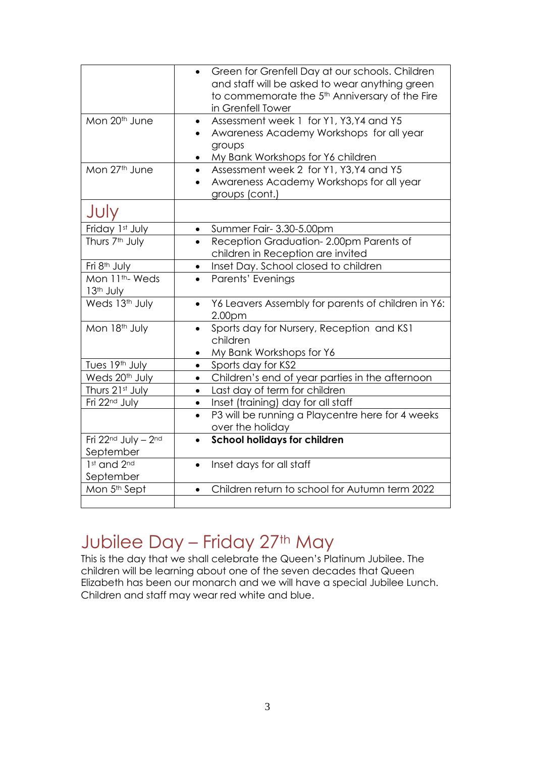|                                                      | Green for Grenfell Day at our schools. Children<br>and staff will be asked to wear anything green<br>to commemorate the 5 <sup>th</sup> Anniversary of the Fire<br>in Grenfell Tower |
|------------------------------------------------------|--------------------------------------------------------------------------------------------------------------------------------------------------------------------------------------|
| Mon 20 <sup>th</sup> June                            | Assessment week 1 for Y1, Y3, Y4 and Y5<br>$\bullet$<br>Awareness Academy Workshops for all year<br>groups<br>My Bank Workshops for Y6 children                                      |
| Mon 27th June                                        | Assessment week 2 for Y1, Y3, Y4 and Y5<br>$\bullet$<br>Awareness Academy Workshops for all year<br>groups (cont.)                                                                   |
| JUly                                                 |                                                                                                                                                                                      |
| Friday 1st July                                      | Summer Fair- 3.30-5.00pm<br>$\bullet$                                                                                                                                                |
| Thurs 7 <sup>th</sup> July                           | Reception Graduation-2.00pm Parents of<br>children in Reception are invited                                                                                                          |
| Fri 8 <sup>th</sup> July                             | Inset Day. School closed to children<br>$\bullet$                                                                                                                                    |
| Mon 11 <sup>th</sup> - Weds<br>13 <sup>th</sup> July | Parents' Evenings                                                                                                                                                                    |
| Weds 13th July                                       | Y6 Leavers Assembly for parents of children in Y6:<br>$\bullet$<br>2.00 <sub>pm</sub>                                                                                                |
| Mon 18th July                                        | Sports day for Nursery, Reception and KS1<br>children<br>My Bank Workshops for Y6<br>$\bullet$                                                                                       |
| Tues 19th July                                       | Sports day for KS2<br>$\bullet$                                                                                                                                                      |
| Weds 20 <sup>th</sup> July                           | Children's end of year parties in the afternoon<br>$\bullet$                                                                                                                         |
| Thurs 21st July                                      | Last day of term for children<br>$\bullet$                                                                                                                                           |
| Fri 22 <sup>nd</sup> July                            | Inset (training) day for all staff<br>$\bullet$                                                                                                                                      |
|                                                      | P3 will be running a Playcentre here for 4 weeks<br>$\bullet$<br>over the holiday                                                                                                    |
| Fri 22nd July - 2nd<br>September                     | <b>School holidays for children</b><br>$\bullet$                                                                                                                                     |
| 1st and 2nd<br>September                             | Inset days for all staff<br>$\bullet$                                                                                                                                                |
| Mon 5 <sup>th</sup> Sept                             | Children return to school for Autumn term 2022<br>$\bullet$                                                                                                                          |
|                                                      |                                                                                                                                                                                      |

### Jubilee Day - Friday 27th May

This is the day that we shall celebrate the Queen's Platinum Jubilee. The children will be learning about one of the seven decades that Queen Elizabeth has been our monarch and we will have a special Jubilee Lunch. Children and staff may wear red white and blue.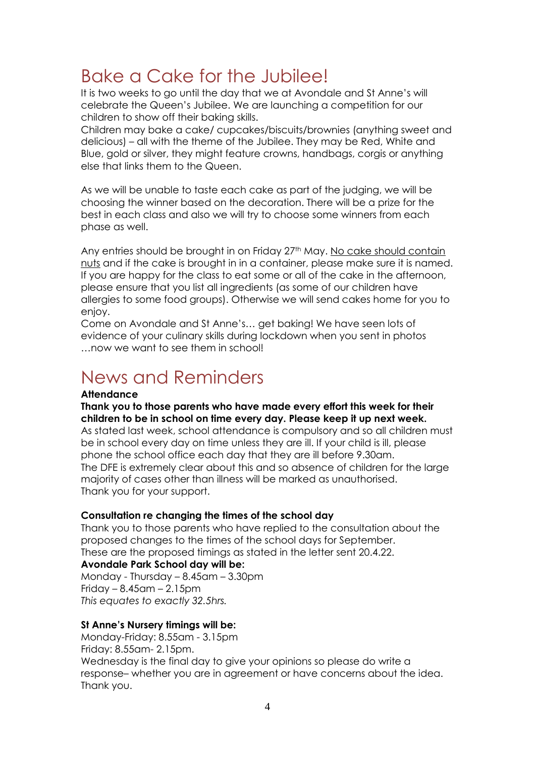### Bake a Cake for the Jubilee!

It is two weeks to go until the day that we at Avondale and St Anne's will celebrate the Queen's Jubilee. We are launching a competition for our children to show off their baking skills.

Children may bake a cake/ cupcakes/biscuits/brownies (anything sweet and delicious) – all with the theme of the Jubilee. They may be Red, White and Blue, gold or silver, they might feature crowns, handbags, corgis or anything else that links them to the Queen.

As we will be unable to taste each cake as part of the judging, we will be choosing the winner based on the decoration. There will be a prize for the best in each class and also we will try to choose some winners from each phase as well.

Any entries should be brought in on Friday 27<sup>th</sup> May. No cake should contain nuts and if the cake is brought in in a container, please make sure it is named. If you are happy for the class to eat some or all of the cake in the afternoon, please ensure that you list all ingredients (as some of our children have allergies to some food groups). Otherwise we will send cakes home for you to enjoy.

Come on Avondale and St Anne's… get baking! We have seen lots of evidence of your culinary skills during lockdown when you sent in photos …now we want to see them in school!

#### News and Reminders

#### **Attendance**

**Thank you to those parents who have made every effort this week for their children to be in school on time every day. Please keep it up next week.**

As stated last week, school attendance is compulsory and so all children must be in school every day on time unless they are ill. If your child is ill, please phone the school office each day that they are ill before 9.30am. The DFE is extremely clear about this and so absence of children for the large majority of cases other than illness will be marked as unauthorised. Thank you for your support.

#### **Consultation re changing the times of the school day**

Thank you to those parents who have replied to the consultation about the proposed changes to the times of the school days for September. These are the proposed timings as stated in the letter sent 20.4.22.

#### **Avondale Park School day will be:**

Monday - Thursday – 8.45am – 3.30pm Friday –  $8.45$ am –  $2.15$ pm *This equates to exactly 32.5hrs.*

#### **St Anne's Nursery timings will be:**

Monday-Friday: 8.55am - 3.15pm Friday: 8.55am- 2.15pm. Wednesday is the final day to give your opinions so please do write a response– whether you are in agreement or have concerns about the idea. Thank you.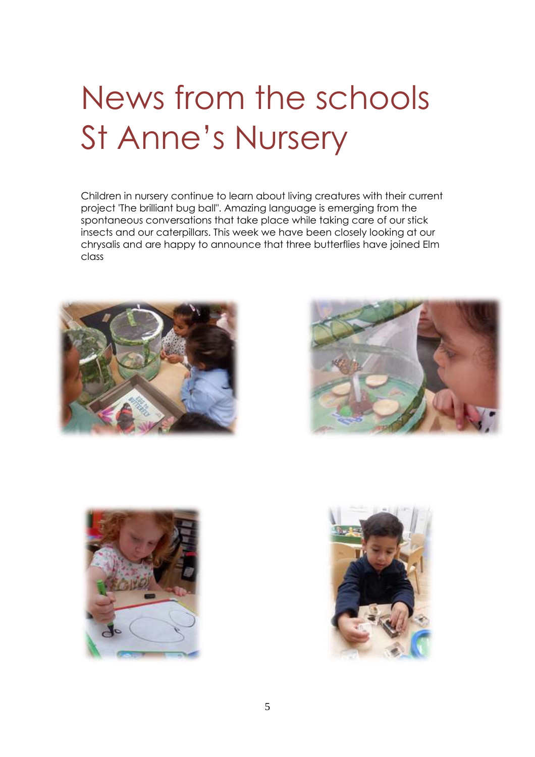# News from the schools St Anne's Nursery

Children in nursery continue to learn about living creatures with their current project 'The brilliant bug ball". Amazing language is emerging from the spontaneous conversations that take place while taking care of our stick insects and our caterpillars. This week we have been closely looking at our chrysalis and are happy to announce that three butterflies have joined Elm class







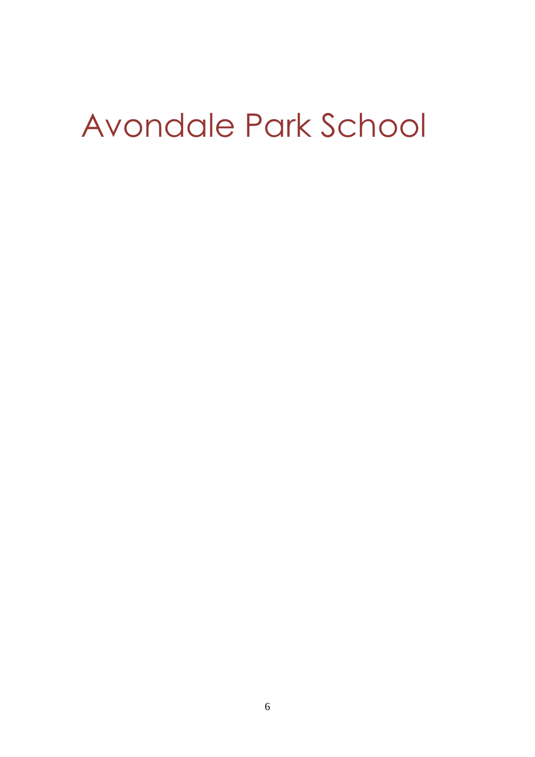# Avondale Park School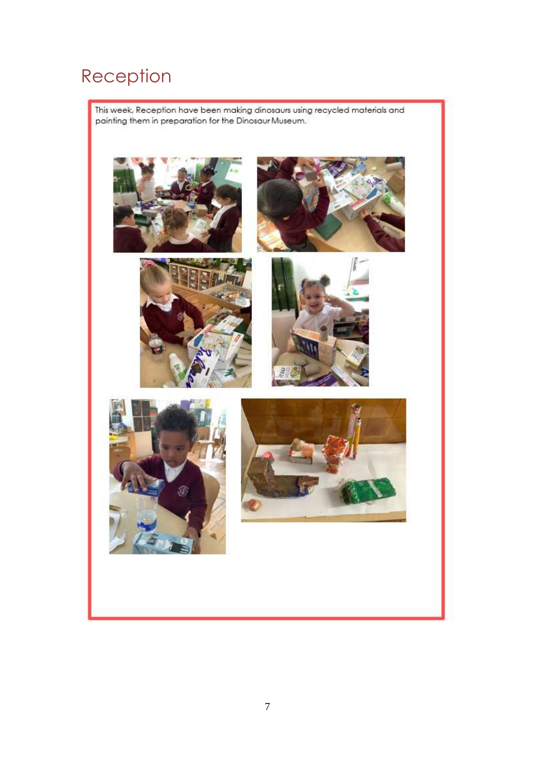### Reception

This week, Reception have been making dinosaurs using recycled materials and painting them in preparation for the Dinosaur Museum.

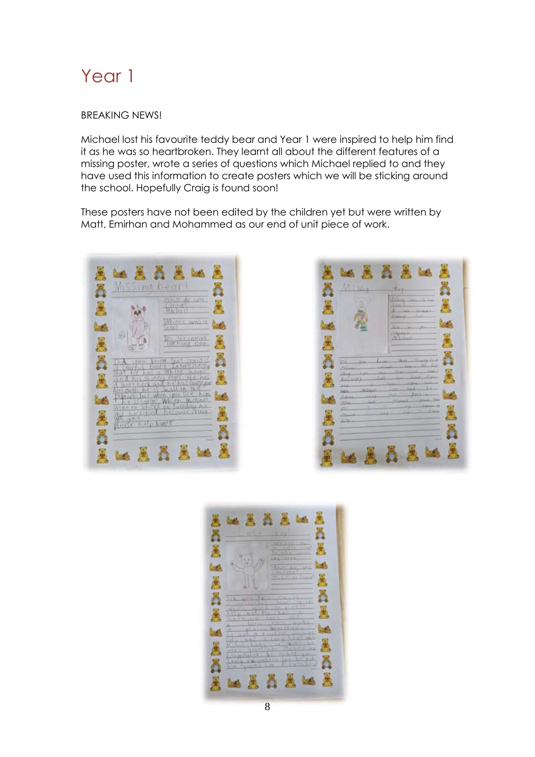#### Year 1

#### BREAKING NEWS!

Michael lost his favourite teddy bear and Year 1 were inspired to help him find it as he was so heartbroken. They learnt all about the different features of a missing poster, wrote a series of questions which Michael replied to and they have used this information to create posters which we will be sticking around the school. Hopefully Craig is found soon!

These posters have not been edited by the children yet but were written by Matt, Emirhan and Mohammed as our end of unit piece of work.





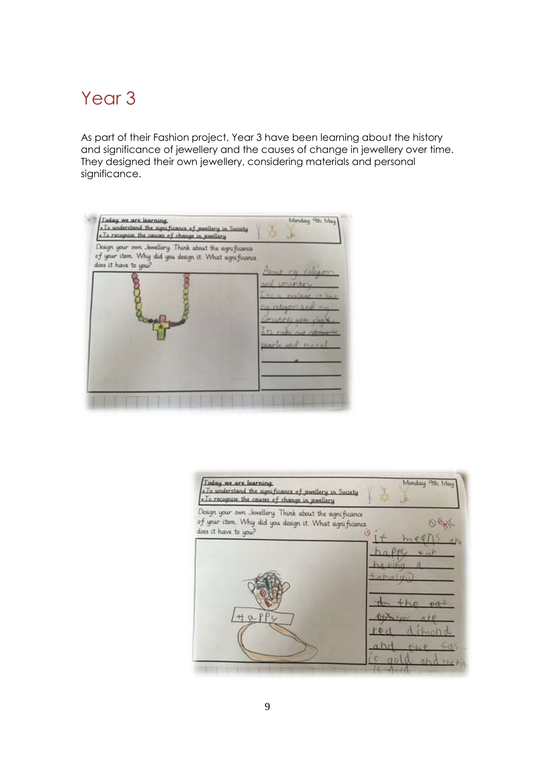### Year<sub>3</sub>

As part of their Fashion project, Year 3 have been learning about the history and significance of jewellery and the causes of change in jewellery over time. They designed their own jewellery, considering materials and personal significance.

| » To understand the significance of juvallery in Society<br>. To recognise the causes of change in jewellery                             |                                                                                                                                                               |
|------------------------------------------------------------------------------------------------------------------------------------------|---------------------------------------------------------------------------------------------------------------------------------------------------------------|
| Design your own Jewellery. Think about the significance<br>of your item. Why did you design it What significance<br>does it have to you? | Home no releaser<br>and countiers<br>the a neclass it line<br>no religion and ru<br><b>CELUTIFICATION ASSOCIATES</b><br>it rule out other<br>parts and proval |

| Today we are learning.<br>- To understand the significance of jewellery in Society<br>- To recognise the causes of change in jewellery    | Monday 9th May |
|-------------------------------------------------------------------------------------------------------------------------------------------|----------------|
| Design your own Jewellery. Think about the significance<br>of your item. Why did you design it. What significance<br>does it have to you? | 39             |
|                                                                                                                                           | intmed(u)      |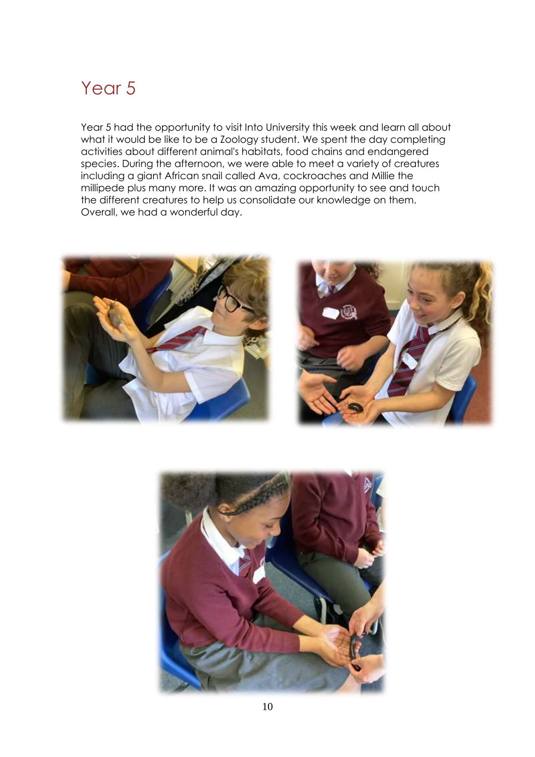### Year<sub>5</sub>

Year 5 had the opportunity to visit Into University this week and learn all about what it would be like to be a Zoology student. We spent the day completing activities about different animal's habitats, food chains and endangered species. During the afternoon, we were able to meet a variety of creatures including a giant African snail called Ava, cockroaches and Millie the millipede plus many more. It was an amazing opportunity to see and touch the different creatures to help us consolidate our knowledge on them. Overall, we had a wonderful day.





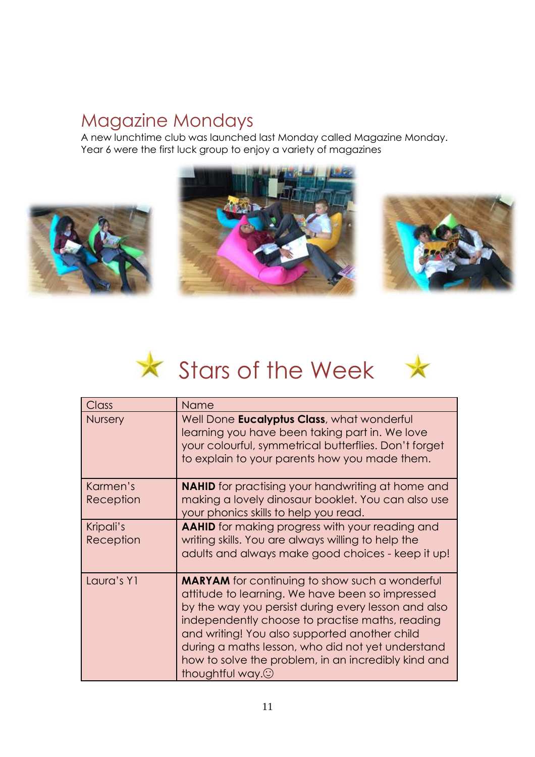#### Magazine Mondays

A new lunchtime club was launched last Monday called Magazine Monday. Year 6 were the first luck group to enjoy a variety of magazines







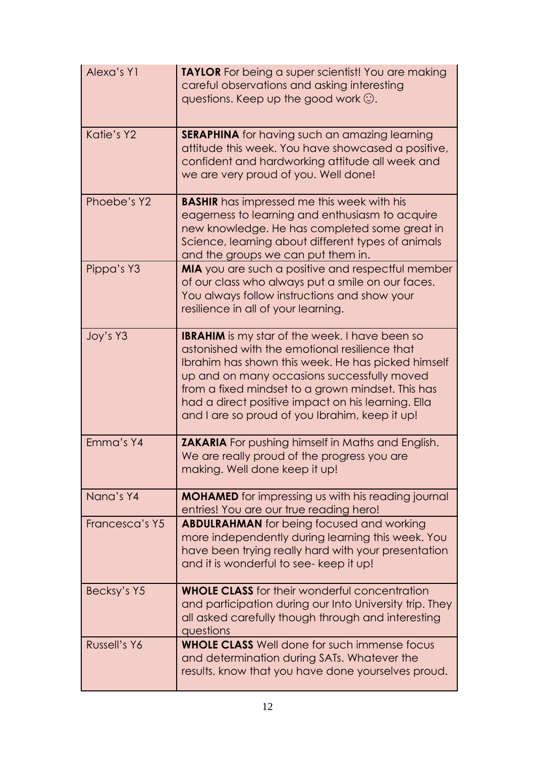| Alexa's Y1     | <b>TAYLOR</b> For being a super scientist! You are making<br>careful observations and asking interesting<br>questions. Keep up the good work $\odot$ .                                                                                                                                                                                                                   |
|----------------|--------------------------------------------------------------------------------------------------------------------------------------------------------------------------------------------------------------------------------------------------------------------------------------------------------------------------------------------------------------------------|
| Katie's Y2     | <b>SERAPHINA</b> for having such an amazing learning<br>attitude this week. You have showcased a positive,<br>confident and hardworking attitude all week and<br>we are very proud of you. Well done!                                                                                                                                                                    |
| Phoebe's Y2    | <b>BASHIR</b> has impressed me this week with his<br>eagerness to learning and enthusiasm to acquire<br>new knowledge. He has completed some great in<br>Science, learning about different types of animals<br>and the groups we can put them in.                                                                                                                        |
| Pippa's Y3     | MIA you are such a positive and respectful member<br>of our class who always put a smile on our faces.<br>You always follow instructions and show your<br>resilience in all of your learning.                                                                                                                                                                            |
| Joy's Y3       | <b>IBRAHIM</b> is my star of the week. I have been so<br>astonished with the emotional resilience that<br>Ibrahim has shown this week. He has picked himself<br>up and on many occasions successfully moved<br>from a fixed mindset to a grown mindset. This has<br>had a direct positive impact on his learning. Ella<br>and I are so proud of you Ibrahim, keep it up! |
| Emma's Y4      | <b>ZAKARIA</b> For pushing himself in Maths and English.<br>We are really proud of the progress you are<br>making. Well done keep it up!                                                                                                                                                                                                                                 |
| Nana's Y4      | <b>MOHAMED</b> for impressing us with his reading journal<br>entries! You are our true reading hero!                                                                                                                                                                                                                                                                     |
| Francesca's Y5 | <b>ABDULRAHMAN</b> for being focused and working<br>more independently during learning this week. You<br>have been trying really hard with your presentation<br>and it is wonderful to see- keep it up!                                                                                                                                                                  |
| Becksy's Y5    | <b>WHOLE CLASS</b> for their wonderful concentration<br>and participation during our Into University trip. They<br>all asked carefully though through and interesting<br>questions                                                                                                                                                                                       |
| Russell's Y6   | <b>WHOLE CLASS</b> Well done for such immense focus<br>and determination during SATs. Whatever the<br>results, know that you have done yourselves proud.                                                                                                                                                                                                                 |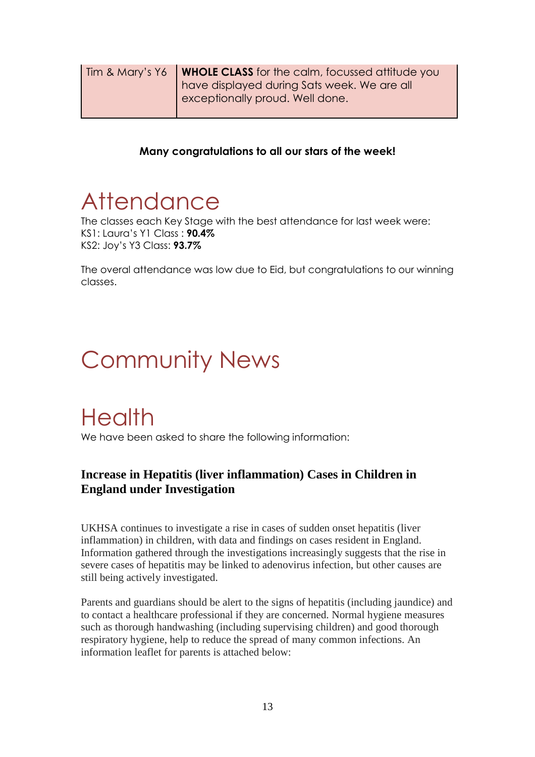| Tim & Mary's Y6 | <b>WHOLE CLASS</b> for the calm, focussed attitude you |
|-----------------|--------------------------------------------------------|
|                 | have displayed during Sats week. We are all            |
|                 | exceptionally proud. Well done.                        |
|                 |                                                        |

#### **Many congratulations to all our stars of the week!**

# **Attendance**

The classes each Key Stage with the best attendance for last week were: KS1: Laura's Y1 Class : **90.4%** KS2: Joy's Y3 Class: **93.7%**

The overal attendance was low due to Eid, but congratulations to our winning classes.

# Community News

## **Health**

We have been asked to share the following information:

#### **Increase in Hepatitis (liver inflammation) Cases in Children in England under Investigation**

UKHSA continues to investigate a rise in cases of sudden onset hepatitis (liver inflammation) in children, with data and findings on cases resident in England. Information gathered through the investigations increasingly suggests that the rise in severe cases of hepatitis may be linked to adenovirus infection, but other causes are still being actively investigated.

Parents and guardians should be alert to the signs of hepatitis (including jaundice) and to contact a healthcare professional if they are concerned. Normal hygiene measures such as thorough handwashing (including supervising children) and good thorough respiratory hygiene, help to reduce the spread of many common infections. An information leaflet for parents is attached below: